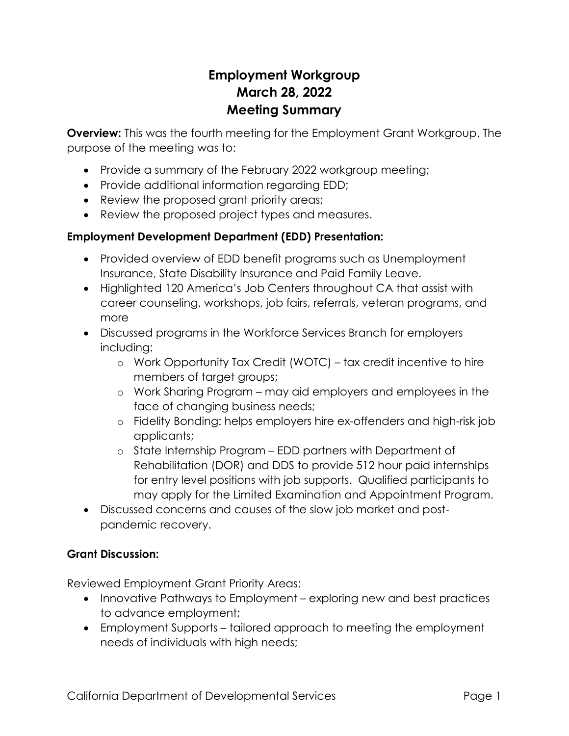# **Employment Workgroup March 28, 2022 Meeting Summary**

**Overview:** This was the fourth meeting for the Employment Grant Workgroup. The purpose of the meeting was to:

- Provide a summary of the February 2022 workgroup meeting;
- Provide additional information regarding EDD;
- Review the proposed grant priority areas;
- Review the proposed project types and measures.

## **Employment Development Department (EDD) Presentation:**

- Provided overview of EDD benefit programs such as Unemployment Insurance, State Disability Insurance and Paid Family Leave.
- Highlighted 120 America's Job Centers throughout CA that assist with career counseling, workshops, job fairs, referrals, veteran programs, and more
- Discussed programs in the Workforce Services Branch for employers including:
	- o Work Opportunity Tax Credit (WOTC) tax credit incentive to hire members of target groups;
	- o Work Sharing Program may aid employers and employees in the face of changing business needs;
	- o Fidelity Bonding: helps employers hire ex-offenders and high-risk job applicants;
	- o State Internship Program EDD partners with Department of Rehabilitation (DOR) and DDS to provide 512 hour paid internships for entry level positions with job supports. Qualified participants to may apply for the Limited Examination and Appointment Program.
- Discussed concerns and causes of the slow job market and postpandemic recovery.

### **Grant Discussion:**

Reviewed Employment Grant Priority Areas:

- Innovative Pathways to Employment exploring new and best practices to advance employment;
- Employment Supports tailored approach to meeting the employment needs of individuals with high needs;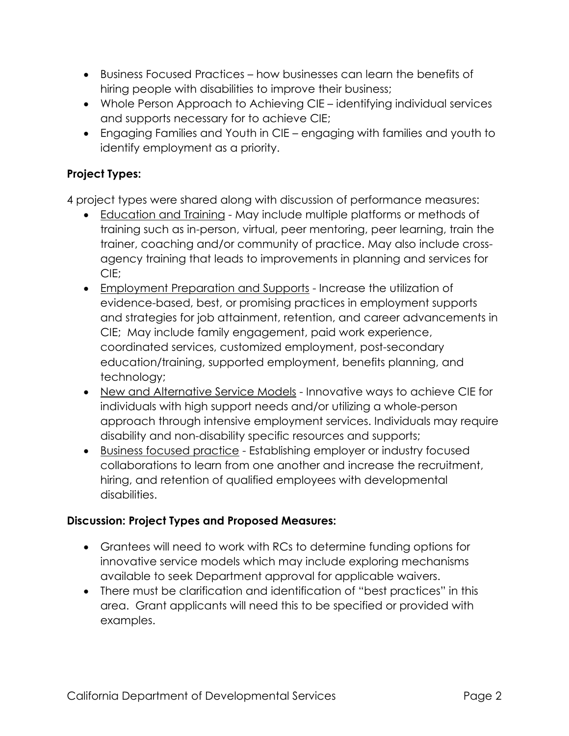- Business Focused Practices how businesses can learn the benefits of hiring people with disabilities to improve their business;
- Whole Person Approach to Achieving CIE identifying individual services and supports necessary for to achieve CIE;
- Engaging Families and Youth in CIE engaging with families and youth to identify employment as a priority.

# **Project Types:**

4 project types were shared along with discussion of performance measures:

- Education and Training May include multiple platforms or methods of training such as in-person, virtual, peer mentoring, peer learning, train the trainer, coaching and/or community of practice. May also include crossagency training that leads to improvements in planning and services for CIE;
- Employment Preparation and Supports Increase the utilization of evidence-based, best, or promising practices in employment supports and strategies for job attainment, retention, and career advancements in CIE; May include family engagement, paid work experience, coordinated services, customized employment, post-secondary education/training, supported employment, benefits planning, and technology;
- New and Alternative Service Models Innovative ways to achieve CIE for individuals with high support needs and/or utilizing a whole-person approach through intensive employment services. Individuals may require disability and non-disability specific resources and supports;
- Business focused practice Establishing employer or industry focused collaborations to learn from one another and increase the recruitment, hiring, and retention of qualified employees with developmental disabilities.

#### **Discussion: Project Types and Proposed Measures:**

- Grantees will need to work with RCs to determine funding options for innovative service models which may include exploring mechanisms available to seek Department approval for applicable waivers.
- There must be clarification and identification of "best practices" in this area. Grant applicants will need this to be specified or provided with examples.